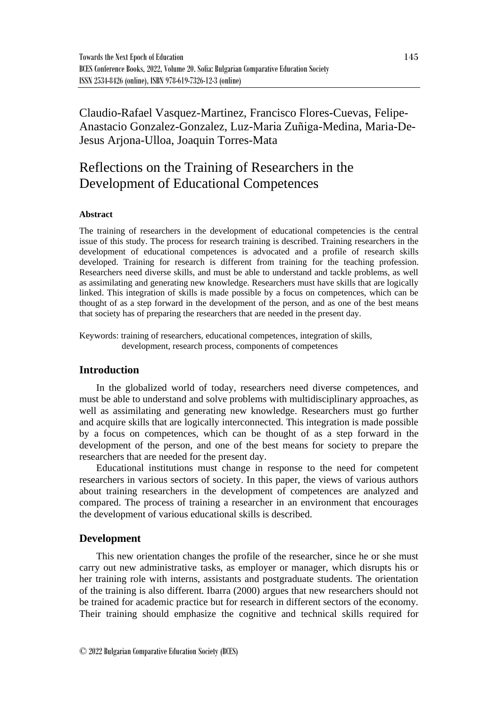# Claudio-Rafael Vasquez-Martinez, Francisco Flores-Cuevas, Felipe-Anastacio Gonzalez-Gonzalez, Luz-Maria Zuñiga-Medina, Maria-De-Jesus Arjona-Ulloa, Joaquin Torres-Mata

# Reflections on the Training of Researchers in the Development of Educational Competences

#### **Abstract**

The training of researchers in the development of educational competencies is the central issue of this study. The process for research training is described. Training researchers in the development of educational competences is advocated and a profile of research skills developed. Training for research is different from training for the teaching profession. Researchers need diverse skills, and must be able to understand and tackle problems, as well as assimilating and generating new knowledge. Researchers must have skills that are logically linked. This integration of skills is made possible by a focus on competences, which can be thought of as a step forward in the development of the person, and as one of the best means that society has of preparing the researchers that are needed in the present day.

Keywords: training of researchers, educational competences, integration of skills, development, research process, components of competences

# **Introduction**

In the globalized world of today, researchers need diverse competences, and must be able to understand and solve problems with multidisciplinary approaches, as well as assimilating and generating new knowledge. Researchers must go further and acquire skills that are logically interconnected. This integration is made possible by a focus on competences, which can be thought of as a step forward in the development of the person, and one of the best means for society to prepare the researchers that are needed for the present day.

Educational institutions must change in response to the need for competent researchers in various sectors of society. In this paper, the views of various authors about training researchers in the development of competences are analyzed and compared. The process of training a researcher in an environment that encourages the development of various educational skills is described.

#### **Development**

This new orientation changes the profile of the researcher, since he or she must carry out new administrative tasks, as employer or manager, which disrupts his or her training role with interns, assistants and postgraduate students. The orientation of the training is also different. Ibarra (2000) argues that new researchers should not be trained for academic practice but for research in different sectors of the economy. Their training should emphasize the cognitive and technical skills required for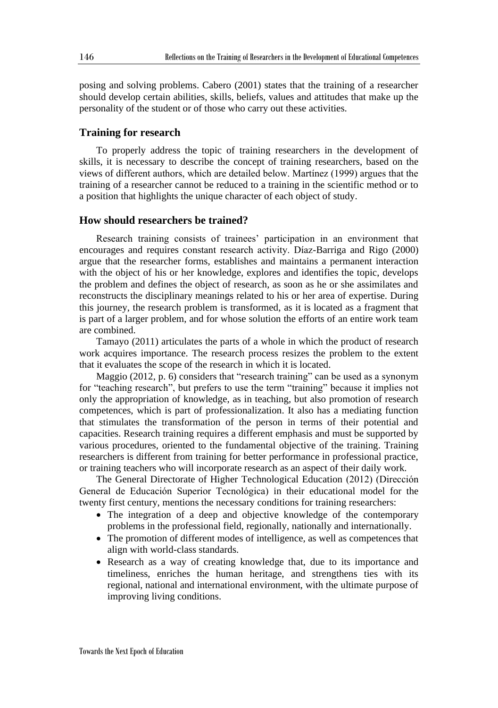posing and solving problems. Cabero (2001) states that the training of a researcher should develop certain abilities, skills, beliefs, values and attitudes that make up the personality of the student or of those who carry out these activities.

#### **Training for research**

To properly address the topic of training researchers in the development of skills, it is necessary to describe the concept of training researchers, based on the views of different authors, which are detailed below. Martínez (1999) argues that the training of a researcher cannot be reduced to a training in the scientific method or to a position that highlights the unique character of each object of study.

## **How should researchers be trained?**

Research training consists of trainees' participation in an environment that encourages and requires constant research activity. Díaz-Barriga and Rigo (2000) argue that the researcher forms, establishes and maintains a permanent interaction with the object of his or her knowledge, explores and identifies the topic, develops the problem and defines the object of research, as soon as he or she assimilates and reconstructs the disciplinary meanings related to his or her area of expertise. During this journey, the research problem is transformed, as it is located as a fragment that is part of a larger problem, and for whose solution the efforts of an entire work team are combined.

Tamayo (2011) articulates the parts of a whole in which the product of research work acquires importance. The research process resizes the problem to the extent that it evaluates the scope of the research in which it is located.

Maggio (2012, p. 6) considers that "research training" can be used as a synonym for "teaching research", but prefers to use the term "training" because it implies not only the appropriation of knowledge, as in teaching, but also promotion of research competences, which is part of professionalization. It also has a mediating function that stimulates the transformation of the person in terms of their potential and capacities. Research training requires a different emphasis and must be supported by various procedures, oriented to the fundamental objective of the training. Training researchers is different from training for better performance in professional practice, or training teachers who will incorporate research as an aspect of their daily work.

The General Directorate of Higher Technological Education (2012) (Dirección General de Educación Superior Tecnológica) in their educational model for the twenty first century, mentions the necessary conditions for training researchers:

- The integration of a deep and objective knowledge of the contemporary problems in the professional field, regionally, nationally and internationally.
- The promotion of different modes of intelligence, as well as competences that align with world-class standards.
- Research as a way of creating knowledge that, due to its importance and timeliness, enriches the human heritage, and strengthens ties with its regional, national and international environment, with the ultimate purpose of improving living conditions.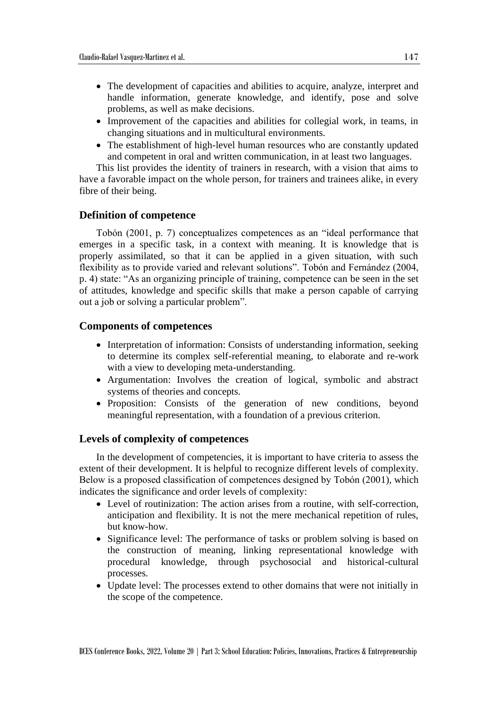- The development of capacities and abilities to acquire, analyze, interpret and handle information, generate knowledge, and identify, pose and solve problems, as well as make decisions.
- Improvement of the capacities and abilities for collegial work, in teams, in changing situations and in multicultural environments.
- The establishment of high-level human resources who are constantly updated and competent in oral and written communication, in at least two languages.

This list provides the identity of trainers in research, with a vision that aims to have a favorable impact on the whole person, for trainers and trainees alike, in every fibre of their being.

#### **Definition of competence**

Tobón (2001, p. 7) conceptualizes competences as an "ideal performance that emerges in a specific task, in a context with meaning. It is knowledge that is properly assimilated, so that it can be applied in a given situation, with such flexibility as to provide varied and relevant solutions". Tobón and Fernández (2004, p. 4) state: "As an organizing principle of training, competence can be seen in the set of attitudes, knowledge and specific skills that make a person capable of carrying out a job or solving a particular problem".

#### **Components of competences**

- Interpretation of information: Consists of understanding information, seeking to determine its complex self-referential meaning, to elaborate and re-work with a view to developing meta-understanding.
- Argumentation: Involves the creation of logical, symbolic and abstract systems of theories and concepts.
- Proposition: Consists of the generation of new conditions, beyond meaningful representation, with a foundation of a previous criterion.

#### **Levels of complexity of competences**

In the development of competencies, it is important to have criteria to assess the extent of their development. It is helpful to recognize different levels of complexity. Below is a proposed classification of competences designed by Tobón (2001), which indicates the significance and order levels of complexity:

- Level of routinization: The action arises from a routine, with self-correction, anticipation and flexibility. It is not the mere mechanical repetition of rules, but know-how.
- Significance level: The performance of tasks or problem solving is based on the construction of meaning, linking representational knowledge with procedural knowledge, through psychosocial and historical-cultural processes.
- Update level: The processes extend to other domains that were not initially in the scope of the competence.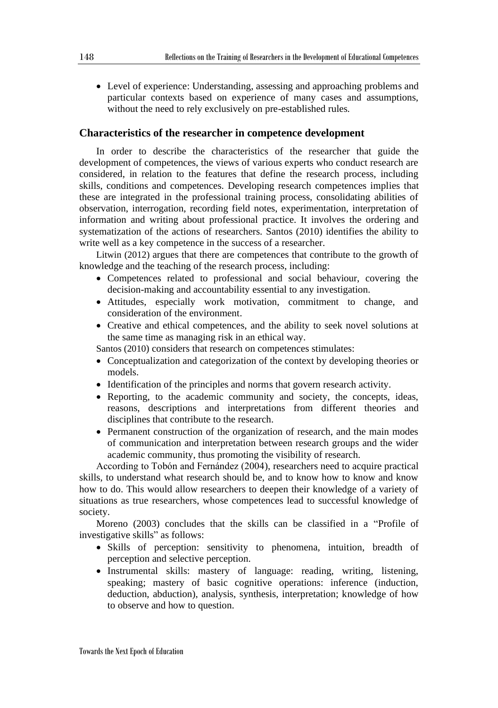• Level of experience: Understanding, assessing and approaching problems and particular contexts based on experience of many cases and assumptions, without the need to rely exclusively on pre-established rules.

#### **Characteristics of the researcher in competence development**

In order to describe the characteristics of the researcher that guide the development of competences, the views of various experts who conduct research are considered, in relation to the features that define the research process, including skills, conditions and competences. Developing research competences implies that these are integrated in the professional training process, consolidating abilities of observation, interrogation, recording field notes, experimentation, interpretation of information and writing about professional practice. It involves the ordering and systematization of the actions of researchers. Santos (2010) identifies the ability to write well as a key competence in the success of a researcher.

Litwin (2012) argues that there are competences that contribute to the growth of knowledge and the teaching of the research process, including:

- Competences related to professional and social behaviour, covering the decision-making and accountability essential to any investigation.
- Attitudes, especially work motivation, commitment to change, and consideration of the environment.
- Creative and ethical competences, and the ability to seek novel solutions at the same time as managing risk in an ethical way.

Santos (2010) considers that research on competences stimulates:

- Conceptualization and categorization of the context by developing theories or models.
- Identification of the principles and norms that govern research activity.
- Reporting, to the academic community and society, the concepts, ideas, reasons, descriptions and interpretations from different theories and disciplines that contribute to the research.
- Permanent construction of the organization of research, and the main modes of communication and interpretation between research groups and the wider academic community, thus promoting the visibility of research.

According to Tobón and Fernández (2004), researchers need to acquire practical skills, to understand what research should be, and to know how to know and know how to do. This would allow researchers to deepen their knowledge of a variety of situations as true researchers, whose competences lead to successful knowledge of society.

Moreno (2003) concludes that the skills can be classified in a "Profile of investigative skills" as follows:

- Skills of perception: sensitivity to phenomena, intuition, breadth of perception and selective perception.
- Instrumental skills: mastery of language: reading, writing, listening, speaking; mastery of basic cognitive operations: inference (induction, deduction, abduction), analysis, synthesis, interpretation; knowledge of how to observe and how to question.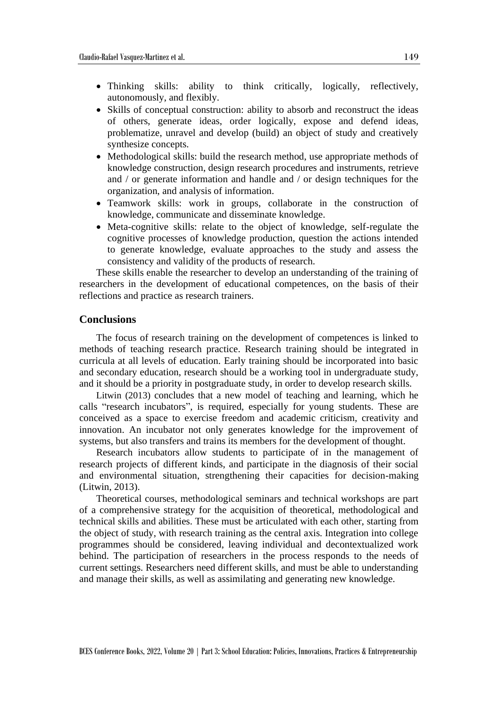- Thinking skills: ability to think critically, logically, reflectively, autonomously, and flexibly.
- Skills of conceptual construction: ability to absorb and reconstruct the ideas of others, generate ideas, order logically, expose and defend ideas, problematize, unravel and develop (build) an object of study and creatively synthesize concepts.
- Methodological skills: build the research method, use appropriate methods of knowledge construction, design research procedures and instruments, retrieve and / or generate information and handle and / or design techniques for the organization, and analysis of information.
- Teamwork skills: work in groups, collaborate in the construction of knowledge, communicate and disseminate knowledge.
- Meta-cognitive skills: relate to the object of knowledge, self-regulate the cognitive processes of knowledge production, question the actions intended to generate knowledge, evaluate approaches to the study and assess the consistency and validity of the products of research.

These skills enable the researcher to develop an understanding of the training of researchers in the development of educational competences, on the basis of their reflections and practice as research trainers.

## **Conclusions**

The focus of research training on the development of competences is linked to methods of teaching research practice. Research training should be integrated in curricula at all levels of education. Early training should be incorporated into basic and secondary education, research should be a working tool in undergraduate study, and it should be a priority in postgraduate study, in order to develop research skills.

Litwin (2013) concludes that a new model of teaching and learning, which he calls "research incubators", is required, especially for young students. These are conceived as a space to exercise freedom and academic criticism, creativity and innovation. An incubator not only generates knowledge for the improvement of systems, but also transfers and trains its members for the development of thought.

Research incubators allow students to participate of in the management of research projects of different kinds, and participate in the diagnosis of their social and environmental situation, strengthening their capacities for decision-making (Litwin, 2013).

Theoretical courses, methodological seminars and technical workshops are part of a comprehensive strategy for the acquisition of theoretical, methodological and technical skills and abilities. These must be articulated with each other, starting from the object of study, with research training as the central axis. Integration into college programmes should be considered, leaving individual and decontextualized work behind. The participation of researchers in the process responds to the needs of current settings. Researchers need different skills, and must be able to understanding and manage their skills, as well as assimilating and generating new knowledge.